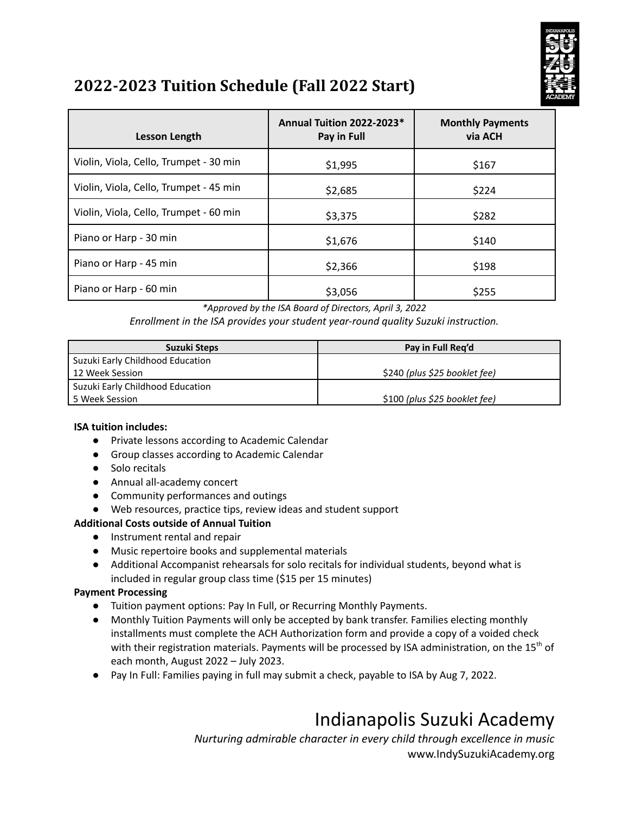

## **2022-2023 Tuition Schedule (Fall 2022 Start)**

| Lesson Length                          | Annual Tuition 2022-2023*<br>Pay in Full | <b>Monthly Payments</b><br>via ACH |
|----------------------------------------|------------------------------------------|------------------------------------|
| Violin, Viola, Cello, Trumpet - 30 min | \$1,995                                  | \$167                              |
| Violin, Viola, Cello, Trumpet - 45 min | \$2,685                                  | \$224                              |
| Violin, Viola, Cello, Trumpet - 60 min | \$3,375                                  | \$282                              |
| Piano or Harp - 30 min                 | \$1,676                                  | \$140                              |
| Piano or Harp - 45 min                 | \$2,366                                  | \$198                              |
| Piano or Harp - 60 min                 | \$3,056                                  | \$255                              |

*\*Approved by the ISA Board of Directors, April 3, 2022*

*Enrollment in the ISA provides your student year-round quality Suzuki instruction.*

| Suzuki Steps                       | Pay in Full Reg'd             |  |
|------------------------------------|-------------------------------|--|
| l Suzuki Early Childhood Education |                               |  |
| 12 Week Session                    | \$240 (plus \$25 booklet fee) |  |
| Suzuki Early Childhood Education   |                               |  |
| l 5 Week Session                   | \$100 (plus \$25 booklet fee) |  |

### **ISA tuition includes:**

- Private lessons according to Academic Calendar
- Group classes according to Academic Calendar
- Solo recitals
- Annual all-academy concert
- Community performances and outings
- Web resources, practice tips, review ideas and student support

### **Additional Costs outside of Annual Tuition**

- Instrument rental and repair
- Music repertoire books and supplemental materials
- Additional Accompanist rehearsals for solo recitals for individual students, beyond what is included in regular group class time (\$15 per 15 minutes)

#### **Payment Processing**

- Tuition payment options: Pay In Full, or Recurring Monthly Payments.
- Monthly Tuition Payments will only be accepted by bank transfer. Families electing monthly installments must complete the ACH Authorization form and provide a copy of a voided check with their registration materials. Payments will be processed by ISA administration, on the 15<sup>th</sup> of each month, August 2022 – July 2023.
- Pay In Full: Families paying in full may submit a check, payable to ISA by Aug 7, 2022.

# Indianapolis Suzuki Academy

*Nurturing admirable character in every child through excellence in music* www.IndySuzukiAcademy.org